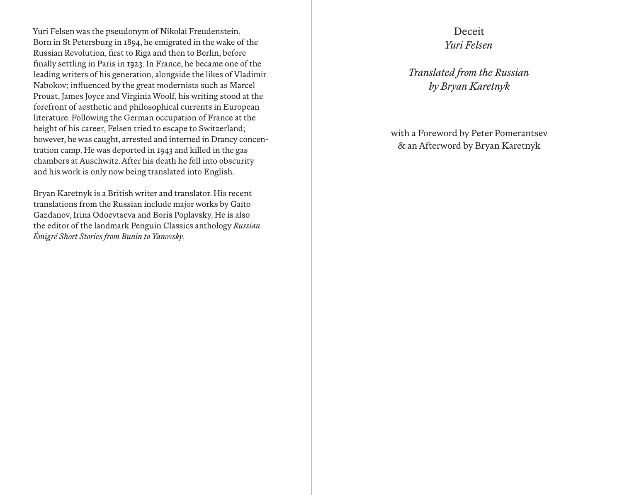Yuri Felsen was the pseudonym of Nikolai Freudenstein. Born in St Petersburg in 1894, he emigrated in the wake of the Russian Revolution, first to Riga and then to Berlin, before finally settling in Paris in 1923. In France, he became one of the leading writers of his generation, alongside the likes of Vladimir Nabokov; influenced by the great modernists such as Marcel Proust, James Joyce and Virginia Woolf, his writing stood at the forefront of aesthetic and philosophical currents in European literature. Following the German occupation of France at the height of his career, Felsen tried to escape to Switzerland; however, he was caught, arrested and interned in Drancy concen tration camp. He was deported in 1943 and killed in the gas chambers at Auschwitz. After his death he fell into obscurity and his work is only now being translated into English.

Bryan Karetnyk is a British writer and translator. His recent translations from the Russian include major works by Gaito Gazdanov, Irina Odoevtseva and Boris Poplavsky. He is also the editor of the landmark Penguin Classics anthology *Russian Émigré Short Stories from Bunin to Yanovsky*.

## Deceit *Yuri Felsen*

*Translated from the Russian by Bryan Karetnyk*

with a Foreword by Peter Pomerantsev & an Afterword by Bryan Karetnyk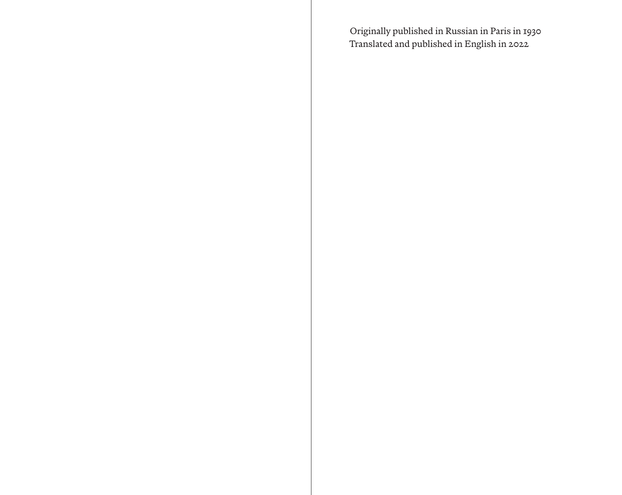Originally published in Russian in Paris in 1930 Translated and published in English in 2022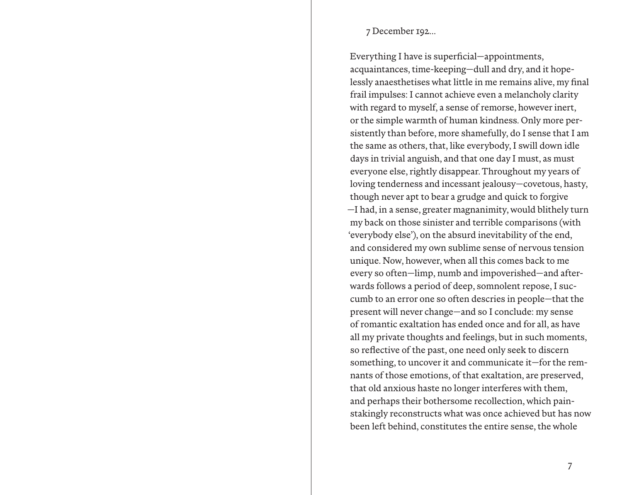## 7 December 192…

Everything I have is superficial—appointments, acquaintances, time-keeping—dull and dry, and it hopelessly anaesthetises what little in me remains alive, my final frail impulses: I cannot achieve even a melancholy clarity with regard to myself, a sense of remorse, however inert, or the simple warmth of human kindness. Only more persistently than before, more shamefully, do I sense that I am the same as others, that, like everybody, I swill down idle days in trivial anguish, and that one day I must, as must everyone else, rightly disappear. Throughout my years of loving tenderness and incessant jealousy—covetous, hasty, though never apt to bear a grudge and quick to forgive —I had, in a sense, greater magnanimity, would blithely turn my back on those sinister and terrible comparisons (with 'everybody else'), on the absurd inevitability of the end, and considered my own sublime sense of nervous tension unique. Now, however, when all this comes back to me every so often—limp, numb and impoverished—and afterwards follows a period of deep, somnolent repose, I succumb to an error one so often descries in people—that the present will never change—and so I conclude: my sense of romantic exaltation has ended once and for all, as have all my private thoughts and feelings, but in such moments, so reflective of the past, one need only seek to discern something, to uncover it and communicate it—for the remnants of those emotions, of that exaltation, are preserved, that old anxious haste no longer interferes with them, and perhaps their bothersome recollection, which painstakingly reconstructs what was once achieved but has now been left behind, constitutes the entire sense, the whole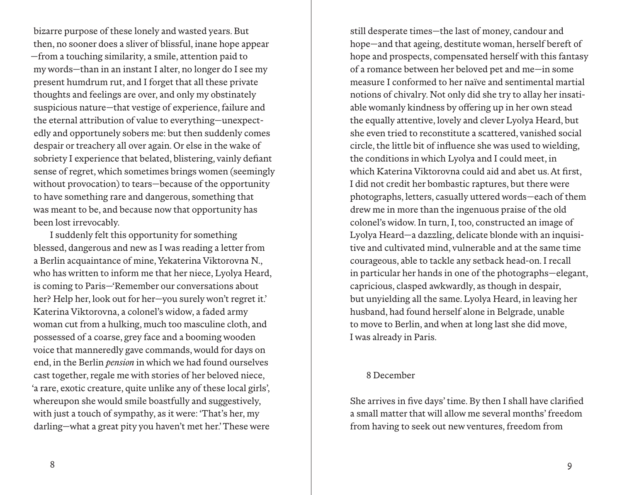bizarre purpose of these lonely and wasted years. But then, no sooner does a sliver of blissful, inane hope appear —from a touching similarity, a smile, attention paid to my words—than in an instant I alter, no longer do I see my present humdrum rut, and I forget that all these private thoughts and feelings are over, and only my obstinately suspicious nature—that vestige of experience, failure and the eternal attribution of value to everything—unexpectedly and opportunely sobers me: but then suddenly comes despair or treachery all over again. Or else in the wake of sobriety I experience that belated, blistering, vainly defiant sense of regret, which sometimes brings women (seemingly without provocation) to tears—because of the opportunity to have something rare and dangerous, something that was meant to be, and because now that opportunity has been lost irrevocably.

I suddenly felt this opportunity for something blessed, dangerous and new as I was reading a letter from a Berlin acquaintance of mine, Yekaterina Viktorovna N., who has written to inform me that her niece, Lyolya Heard, is coming to Paris—'Remember our conversations about her? Help her, look out for her—you surely won't regret it.' Katerina Viktorovna, a colonel's widow, a faded army woman cut from a hulking, much too masculine cloth, and possessed of a coarse, grey face and a booming wooden voice that manneredly gave commands, would for days on end, in the Berlin *pension* in which we had found ourselves cast together, regale me with stories of her beloved niece, 'a rare, exotic creature, quite unlike any of these local girls', whereupon she would smile boastfully and suggestively, with just a touch of sympathy, as it were: 'That's her, my darling—what a great pity you haven't met her.' These were

still desperate times—the last of money, candour and hope—and that ageing, destitute woman, herself bereft of hope and prospects, compensated herself with this fantasy of a romance between her beloved pet and me—in some measure I conformed to her naïve and sentimental martial notions of chivalry. Not only did she try to allay her insatiable womanly kindness by offering up in her own stead the equally attentive, lovely and clever Lyolya Heard, but she even tried to reconstitute a scattered, vanished social circle, the little bit of influence she was used to wielding, the conditions in which Lyolya and I could meet, in which Katerina Viktorovna could aid and abet us. At first, I did not credit her bombastic raptures, but there were photographs, letters, casually uttered words—each of them drew me in more than the ingenuous praise of the old colonel's widow. In turn, I, too, constructed an image of Lyolya Heard—a dazzling, delicate blonde with an inquisitive and cultivated mind, vulnerable and at the same time courageous, able to tackle any setback head-on. I recall in particular her hands in one of the photographs—elegant, capricious, clasped awkwardly, as though in despair, but unyielding all the same. Lyolya Heard, in leaving her husband, had found herself alone in Belgrade, unable to move to Berlin, and when at long last she did move, I was already in Paris.

## 8 December

She arrives in five days' time. By then I shall have clarified a small matter that will allow me several months' freedom from having to seek out new ventures, freedom from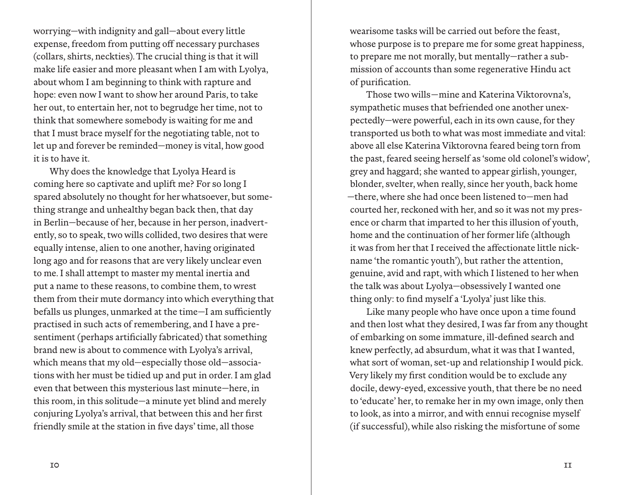worrying—with indignity and gall—about every little expense, freedom from putting off necessary purchases (collars, shirts, neckties). The crucial thing is that it will make life easier and more pleasant when I am with Lyolya, about whom I am beginning to think with rapture and hope: even now I want to show her around Paris, to take her out, to entertain her, not to begrudge her time, not to think that somewhere somebody is waiting for me and that I must brace myself for the negotiating table, not to let up and forever be reminded—money is vital, how good it is to have it.

Why does the knowledge that Lyolya Heard is coming here so captivate and uplift me? For so long I spared absolutely no thought for her whatsoever, but something strange and unhealthy began back then, that day in Berlin—because of her, because in her person, inadvertently, so to speak, two wills collided, two desires that were equally intense, alien to one another, having originated long ago and for reasons that are very likely unclear even to me. I shall attempt to master my mental inertia and put a name to these reasons, to combine them, to wrest them from their mute dormancy into which everything that befalls us plunges, unmarked at the time-I am sufficiently practised in such acts of remembering, and I have a presentiment (perhaps artificially fabricated) that something brand new is about to commence with Lyolya's arrival, which means that my old—especially those old—associations with her must be tidied up and put in order. I am glad even that between this mysterious last minute—here, in this room, in this solitude—a minute yet blind and merely conjuring Lyolya's arrival, that between this and her first friendly smile at the station in five days' time, all those

wearisome tasks will be carried out before the feast, whose purpose is to prepare me for some great happiness, to prepare me not morally, but mentally—rather a submission of accounts than some regenerative Hindu act of purification.

Those two wills—mine and Katerina Viktorovna's, sympathetic muses that befriended one another unexpectedly—were powerful, each in its own cause, for they transported us both to what was most immediate and vital: above all else Katerina Viktorovna feared being torn from the past, feared seeing herself as 'some old colonel's widow', grey and haggard; she wanted to appear girlish, younger, blonder, svelter, when really, since her youth, back home —there, where she had once been listened to—men had courted her, reckoned with her, and so it was not my presence or charm that imparted to her this illusion of youth, home and the continuation of her former life (although it was from her that I received the affectionate little nickname 'the romantic youth'), but rather the attention, genuine, avid and rapt, with which I listened to her when the talk was about Lyolya—obsessively I wanted one thing only: to find myself a 'Lyolya' just like this.

Like many people who have once upon a time found and then lost what they desired, I was far from any thought of embarking on some immature, ill-defined search and knew perfectly, ad absurdum, what it was that I wanted, what sort of woman, set-up and relationship I would pick. Very likely my first condition would be to exclude any docile, dewy-eyed, excessive youth, that there be no need to 'educate' her, to remake her in my own image, only then to look, as into a mirror, and with ennui recognise myself (if successful), while also risking the misfortune of some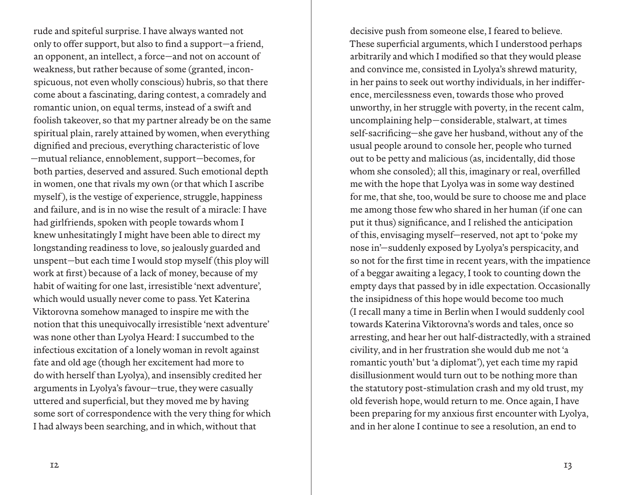rude and spiteful surprise. I have always wanted not only to offer support, but also to find a support—a friend, an opponent, an intellect, a force—and not on account of weakness, but rather because of some (granted, inconspicuous, not even wholly conscious) hubris, so that there come about a fascinating, daring contest, a comradely and romantic union, on equal terms, instead of a swift and foolish takeover, so that my partner already be on the same spiritual plain, rarely attained by women, when everything dignified and precious, everything characteristic of love —mutual reliance, ennoblement, support—becomes, for both parties, deserved and assured. Such emotional depth in women, one that rivals my own (or that which I ascribe myself), is the vestige of experience, struggle, happiness and failure, and is in no wise the result of a miracle: I have had girlfriends, spoken with people towards whom I knew unhesitatingly I might have been able to direct my longstanding readiness to love, so jealously guarded and unspent—but each time I would stop myself (this ploy will work at first) because of a lack of money, because of my habit of waiting for one last, irresistible 'next adventure', which would usually never come to pass. Yet Katerina Viktorovna somehow managed to inspire me with the notion that this unequivocally irresistible 'next adventure' was none other than Lyolya Heard: I succumbed to the infectious excitation of a lonely woman in revolt against fate and old age (though her excitement had more to do with herself than Lyolya), and insensibly credited her arguments in Lyolya's favour—true, they were casually uttered and superficial, but they moved me by having some sort of correspondence with the very thing for which I had always been searching, and in which, without that

decisive push from someone else, I feared to believe. These superficial arguments, which I understood perhaps arbitrarily and which I modified so that they would please and convince me, consisted in Lyolya's shrewd maturity, in her pains to seek out worthy individuals, in her indifference, mercilessness even, towards those who proved unworthy, in her struggle with poverty, in the recent calm, uncomplaining help—considerable, stalwart, at times self-sacrificing—she gave her husband, without any of the usual people around to console her, people who turned out to be petty and malicious (as, incidentally, did those whom she consoled); all this, imaginary or real, overfilled me with the hope that Lyolya was in some way destined for me, that she, too, would be sure to choose me and place me among those few who shared in her human (if one can put it thus) significance, and I relished the anticipation of this, envisaging myself—reserved, not apt to 'poke my nose in'—suddenly exposed by Lyolya's perspicacity, and so not for the first time in recent years, with the impatience of a beggar awaiting a legacy, I took to counting down the empty days that passed by in idle expectation. Occasionally the insipidness of this hope would become too much (I recall many a time in Berlin when I would suddenly cool towards Katerina Viktorovna's words and tales, once so arresting, and hear her out half-distractedly, with a strained civility, and in her frustration she would dub me not 'a romantic youth' but 'a diplomat'), yet each time my rapid disillusionment would turn out to be nothing more than the statutory post-stimulation crash and my old trust, my old feverish hope, would return to me. Once again, I have been preparing for my anxious first encounter with Lyolya, and in her alone I continue to see a resolution, an end to